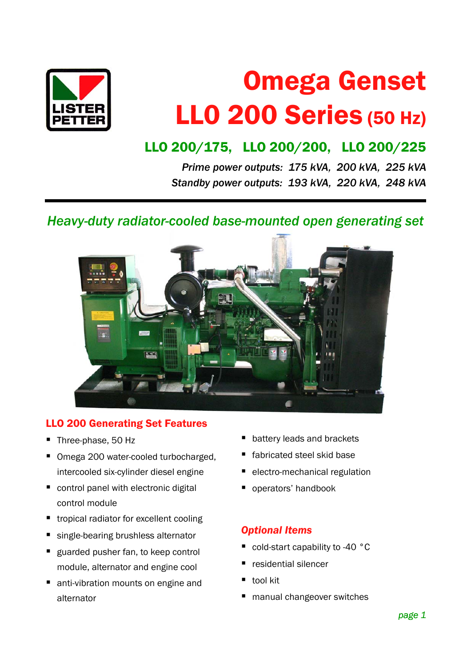

# Omega Genset LL0 200 Series (50 Hz)

# LLO 200/175, LLO 200/200, LLO 200/225

*Prime power outputs: 175 kVA, 200 kVA, 225 kVA Standby power outputs: 193 kVA, 220 kVA, 248 kVA*

*Heavy-duty radiator-cooled base-mounted open generating set*



# LLO 200 Generating Set Features

- Three-phase, 50 Hz
- Omega 200 water-cooled turbocharged, intercooled six-cylinder diesel engine
- control panel with electronic digital control module
- tropical radiator for excellent cooling
- single-bearing brushless alternator
- **guarded pusher fan, to keep control** module, alternator and engine cool
- anti-vibration mounts on engine and alternator
- battery leads and brackets
- fabricated steel skid base
- electro-mechanical regulation
- **p** operators' handbook

#### *Optional Items*

- cold-start capability to -40 °C
- residential silencer
- tool kit
- manual changeover switches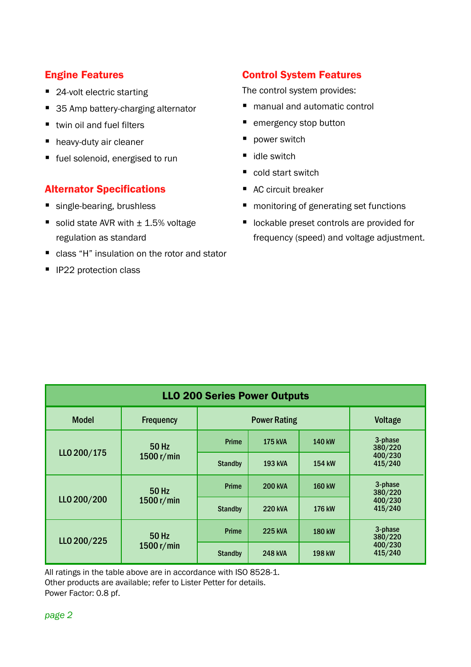#### Engine Features

- 24-volt electric starting
- 35 Amp battery-charging alternator
- twin oil and fuel filters
- heavy-duty air cleaner
- fuel solenoid, energised to run

#### Alternator Specifications

- single-bearing, brushless
- solid state AVR with  $±$  1.5% voltage regulation as standard
- class "H" insulation on the rotor and stator
- **IF22 protection class**

# Control System Features

The control system provides:

- manual and automatic control
- **emergency stop button**
- power switch
- $\blacksquare$  idle switch
- cold start switch
- AC circuit breaker
- monitoring of generating set functions
- lockable preset controls are provided for frequency (speed) and voltage adjustment.

| <b>LLO 200 Series Power Outputs</b> |                       |                |                |               |                    |  |  |  |  |  |
|-------------------------------------|-----------------------|----------------|----------------|---------------|--------------------|--|--|--|--|--|
| <b>Model</b>                        | <b>Frequency</b>      |                | Voltage        |               |                    |  |  |  |  |  |
| LLO 200/175                         | 50 Hz<br>1500 $r/min$ | Prime          | <b>175 kVA</b> | 140 kW        | 3-phase<br>380/220 |  |  |  |  |  |
|                                     |                       | <b>Standby</b> | <b>193 kVA</b> | 154 kW        | 400/230<br>415/240 |  |  |  |  |  |
| LLO 200/200                         | 50 Hz<br>1500 $r/min$ | Prime          | <b>200 kVA</b> | 160 kW        | 3-phase<br>380/220 |  |  |  |  |  |
|                                     |                       | <b>Standby</b> | <b>220 kVA</b> | 176 kW        | 400/230<br>415/240 |  |  |  |  |  |
| LLO 200/225                         | 50 Hz<br>1500 $r/min$ | Prime          | <b>225 kVA</b> | <b>180 kW</b> | 3-phase<br>380/220 |  |  |  |  |  |
|                                     |                       | <b>Standby</b> | <b>248 kVA</b> | 198 kW        | 400/230<br>415/240 |  |  |  |  |  |

All ratings in the table above are in accordance with ISO 8528-1. Other products are available; refer to Lister Petter for details. Power Factor: 0.8 pf.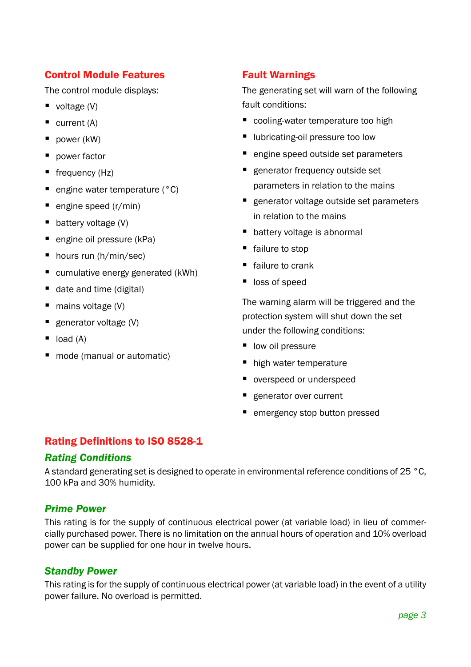#### Control Module Features

The control module displays:

- voltage  $(V)$
- $\blacksquare$  current (A)
- $\blacksquare$  power (kW)
- **power factor**
- frequency (Hz)
- engine water temperature (°C)
- engine speed (r/min)
- $\blacksquare$  battery voltage (V)
- engine oil pressure (kPa)
- hours run (h/min/sec)
- cumulative energy generated (kWh)
- date and time (digital)
- mains voltage (V)
- **generator voltage (V)**
- $\blacksquare$  load  $(A)$
- mode (manual or automatic)

# Fault Warnings

The generating set will warn of the following fault conditions:

- cooling-water temperature too high
- lubricating-oil pressure too low
- engine speed outside set parameters
- **E** generator frequency outside set parameters in relation to the mains
- **e** generator voltage outside set parameters in relation to the mains
- battery voltage is abnormal
- failure to stop
- failure to crank
- loss of speed

The warning alarm will be triggered and the protection system will shut down the set under the following conditions:

- low oil pressure
- high water temperature
- overspeed or underspeed
- generator over current
- emergency stop button pressed

#### Rating Definitions to ISO 8528-1

#### *Rating Conditions*

A standard generating set is designed to operate in environmental reference conditions of 25 °C, 100 kPa and 30% humidity.

#### *Prime Power*

This rating is for the supply of continuous electrical power (at variable load) in lieu of commercially purchased power. There is no limitation on the annual hours of operation and 10% overload power can be supplied for one hour in twelve hours.

#### *Standby Power*

This rating is for the supply of continuous electrical power (at variable load) in the event of a utility power failure. No overload is permitted.